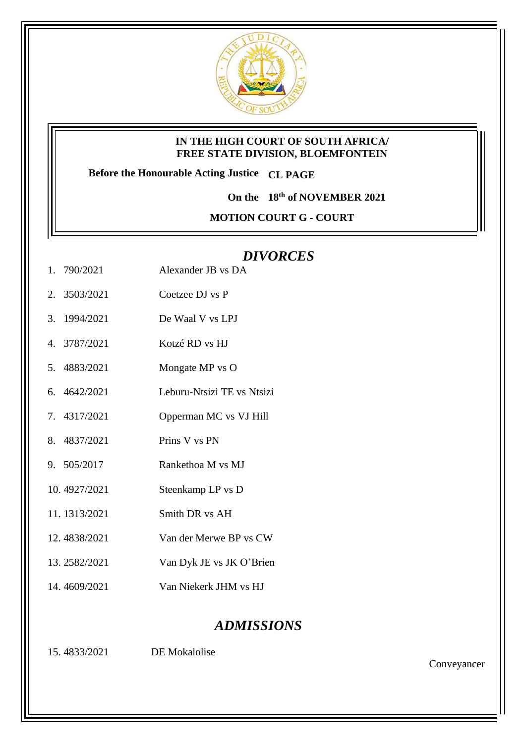

## **IN THE HIGH COURT OF SOUTH AFRICA/ FREE STATE DIVISION, BLOEMFONTEIN**

**Before the Honourable Acting Justice CL PAGE**

**On the 18th of NOVEMBER 2021**

**MOTION COURT G - COURT** 

## *DIVORCES*

- 1. 790/2021 Alexander JB vs DA
- 2. 3503/2021 Coetzee DJ vs P
- 3. 1994/2021 De Waal V vs LPJ
- 4. 3787/2021 Kotzé RD vs HJ
- 5. 4883/2021 Mongate MP vs O
- 6. 4642/2021 Leburu-Ntsizi TE vs Ntsizi
- 7. 4317/2021 Opperman MC vs VJ Hill
- 8. 4837/2021 Prins V vs PN
- 9. 505/2017 Rankethoa M vs MJ
- 10. 4927/2021 Steenkamp LP vs D
- 11. 1313/2021 Smith DR vs AH
- 12. 4838/2021 Van der Merwe BP vs CW
- 13. 2582/2021 Van Dyk JE vs JK O'Brien
- 14. 4609/2021 Van Niekerk JHM vs HJ

## *ADMISSIONS*

15. 4833/2021 DE Mokalolise

Conveyancer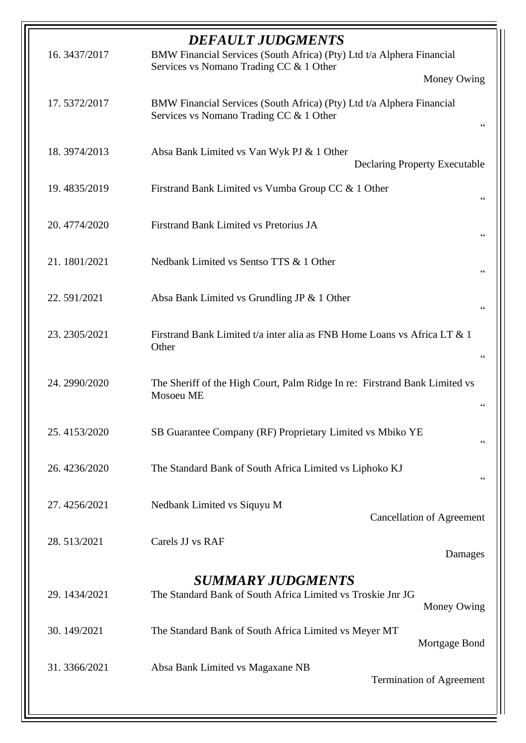| <b>DEFAULT JUDGMENTS</b><br>BMW Financial Services (South Africa) (Pty) Ltd t/a Alphera Financial<br>16.3437/2017 |                                                                                                                        |  |  |  |
|-------------------------------------------------------------------------------------------------------------------|------------------------------------------------------------------------------------------------------------------------|--|--|--|
|                                                                                                                   | Services vs Nomano Trading CC & 1 Other                                                                                |  |  |  |
|                                                                                                                   | Money Owing                                                                                                            |  |  |  |
| 17.5372/2017                                                                                                      | BMW Financial Services (South Africa) (Pty) Ltd t/a Alphera Financial<br>Services vs Nomano Trading CC & 1 Other<br>66 |  |  |  |
| 18.3974/2013                                                                                                      | Absa Bank Limited vs Van Wyk PJ & 1 Other<br><b>Declaring Property Executable</b>                                      |  |  |  |
| 19.4835/2019                                                                                                      | Firstrand Bank Limited vs Vumba Group CC & 1 Other<br>66                                                               |  |  |  |
| 20.4774/2020                                                                                                      | Firstrand Bank Limited vs Pretorius JA<br>66                                                                           |  |  |  |
| 21.1801/2021                                                                                                      | Nedbank Limited vs Sentso TTS & 1 Other<br>66                                                                          |  |  |  |
| 22.591/2021                                                                                                       | Absa Bank Limited vs Grundling JP & 1 Other<br>66                                                                      |  |  |  |
| 23. 2305/2021                                                                                                     | Firstrand Bank Limited t/a inter alia as FNB Home Loans vs Africa LT & 1<br>Other<br>66                                |  |  |  |
| 24.2990/2020                                                                                                      | The Sheriff of the High Court, Palm Ridge In re: Firstrand Bank Limited vs<br>Mosoeu ME<br>66                          |  |  |  |
| 25.4153/2020                                                                                                      | SB Guarantee Company (RF) Proprietary Limited vs Mbiko YE<br>66                                                        |  |  |  |
| 26.4236/2020                                                                                                      | The Standard Bank of South Africa Limited vs Liphoko KJ<br>66                                                          |  |  |  |
| 27.4256/2021                                                                                                      | Nedbank Limited vs Siquyu M<br><b>Cancellation of Agreement</b>                                                        |  |  |  |
| 28.513/2021                                                                                                       | Carels JJ vs RAF<br>Damages                                                                                            |  |  |  |
| <b>SUMMARY JUDGMENTS</b>                                                                                          |                                                                                                                        |  |  |  |
| 29.1434/2021                                                                                                      | The Standard Bank of South Africa Limited vs Troskie Jnr JG<br>Money Owing                                             |  |  |  |
| 30.149/2021                                                                                                       | The Standard Bank of South Africa Limited vs Meyer MT<br>Mortgage Bond                                                 |  |  |  |
| 31.3366/2021                                                                                                      | Absa Bank Limited vs Magaxane NB<br><b>Termination of Agreement</b>                                                    |  |  |  |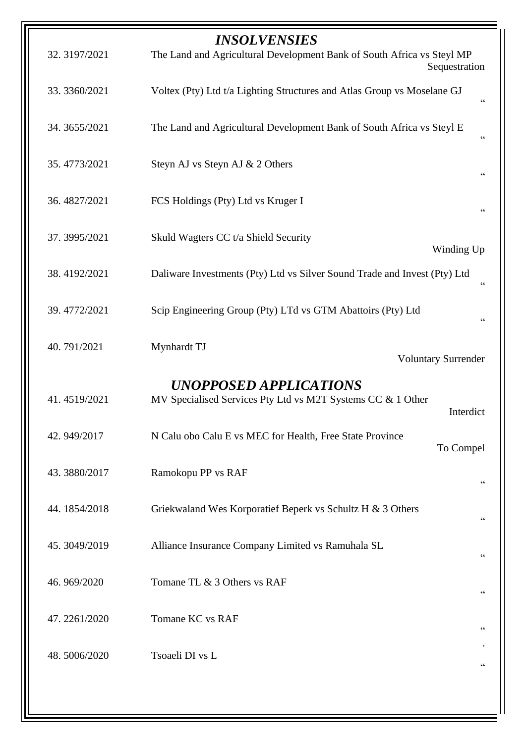| 32.3197/2021  | <i><b>INSOLVENSIES</b></i><br>The Land and Agricultural Development Bank of South Africa vs Steyl MP<br>Sequestration |  |
|---------------|-----------------------------------------------------------------------------------------------------------------------|--|
| 33.3360/2021  | Voltex (Pty) Ltd t/a Lighting Structures and Atlas Group vs Moselane GJ<br>66                                         |  |
| 34. 3655/2021 | The Land and Agricultural Development Bank of South Africa vs Steyl E<br>$\,$ 6 $\,$                                  |  |
| 35.4773/2021  | Steyn AJ vs Steyn AJ & 2 Others<br>66                                                                                 |  |
| 36.4827/2021  | FCS Holdings (Pty) Ltd vs Kruger I<br>66                                                                              |  |
| 37.3995/2021  | Skuld Wagters CC t/a Shield Security<br>Winding Up                                                                    |  |
| 38.4192/2021  | Daliware Investments (Pty) Ltd vs Silver Sound Trade and Invest (Pty) Ltd<br>66                                       |  |
| 39.4772/2021  | Scip Engineering Group (Pty) LTd vs GTM Abattoirs (Pty) Ltd<br>$\mbox{\bf G}$                                         |  |
| 40.791/2021   | Mynhardt TJ<br><b>Voluntary Surrender</b>                                                                             |  |
|               | UNOPPOSED APPLICATIONS                                                                                                |  |
| 41.4519/2021  | MV Specialised Services Pty Ltd vs M2T Systems CC & 1 Other<br>Interdict                                              |  |
| 42.949/2017   | N Calu obo Calu E vs MEC for Health, Free State Province<br>To Compel                                                 |  |
| 43.3880/2017  | Ramokopu PP vs RAF<br>66                                                                                              |  |
| 44.1854/2018  | Griekwaland Wes Korporatief Beperk vs Schultz H & 3 Others<br>66                                                      |  |
| 45.3049/2019  | Alliance Insurance Company Limited vs Ramuhala SL<br>66                                                               |  |
| 46.969/2020   | Tomane TL & 3 Others vs RAF<br>66                                                                                     |  |
| 47.2261/2020  | Tomane KC vs RAF<br>66                                                                                                |  |
| 48.5006/2020  | Tsoaeli DI vs L<br>66                                                                                                 |  |
|               |                                                                                                                       |  |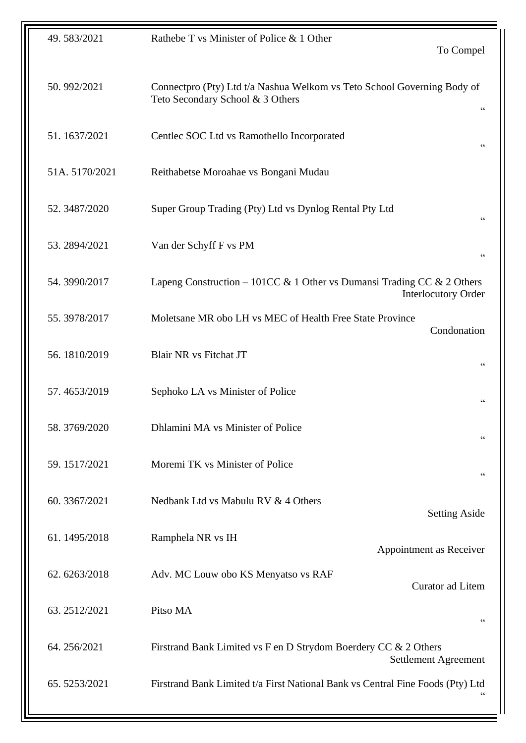| 49.583/2021   | Rathebe T vs Minister of Police & 1 Other                                                                   |  |
|---------------|-------------------------------------------------------------------------------------------------------------|--|
|               | To Compel                                                                                                   |  |
|               |                                                                                                             |  |
| 50.992/2021   | Connectpro (Pty) Ltd t/a Nashua Welkom vs Teto School Governing Body of<br>Teto Secondary School & 3 Others |  |
|               | 66                                                                                                          |  |
| 51.1637/2021  | Centlec SOC Ltd vs Ramothello Incorporated                                                                  |  |
|               | $\zeta \, \zeta$                                                                                            |  |
| 51A.5170/2021 | Reithabetse Moroahae vs Bongani Mudau                                                                       |  |
|               |                                                                                                             |  |
| 52.3487/2020  | Super Group Trading (Pty) Ltd vs Dynlog Rental Pty Ltd                                                      |  |
|               | 66                                                                                                          |  |
| 53.2894/2021  | Van der Schyff F vs PM                                                                                      |  |
|               | $\!\!\!\zeta\,\zeta\!\!\!\zeta\!\!\!\zeta$                                                                  |  |
| 54.3990/2017  | Lapeng Construction – 101CC & 1 Other vs Dumansi Trading CC & 2 Others                                      |  |
|               | <b>Interlocutory Order</b>                                                                                  |  |
| 55.3978/2017  | Moletsane MR obo LH vs MEC of Health Free State Province                                                    |  |
|               | Condonation                                                                                                 |  |
| 56.1810/2019  | <b>Blair NR vs Fitchat JT</b><br>$\zeta \, \zeta$                                                           |  |
|               |                                                                                                             |  |
| 57.4653/2019  | Sephoko LA vs Minister of Police<br>$\zeta$ $\zeta$                                                         |  |
|               |                                                                                                             |  |
| 58.3769/2020  | Dhlamini MA vs Minister of Police<br>66                                                                     |  |
| 59.1517/2021  | Moremi TK vs Minister of Police                                                                             |  |
|               | $\!\!\!\zeta\,\zeta\!\!\!\zeta\!\!\!\zeta$                                                                  |  |
| 60.3367/2021  | Nedbank Ltd vs Mabulu RV & 4 Others                                                                         |  |
|               | <b>Setting Aside</b>                                                                                        |  |
| 61.1495/2018  | Ramphela NR vs IH                                                                                           |  |
|               | Appointment as Receiver                                                                                     |  |
| 62.6263/2018  | Adv. MC Louw obo KS Menyatso vs RAF                                                                         |  |
|               | Curator ad Litem                                                                                            |  |
| 63.2512/2021  | Pitso MA                                                                                                    |  |
|               | 66                                                                                                          |  |
| 64.256/2021   | Firstrand Bank Limited vs F en D Strydom Boerdery CC & 2 Others                                             |  |
|               | Settlement Agreement                                                                                        |  |
| 65.5253/2021  | Firstrand Bank Limited t/a First National Bank vs Central Fine Foods (Pty) Ltd                              |  |
|               |                                                                                                             |  |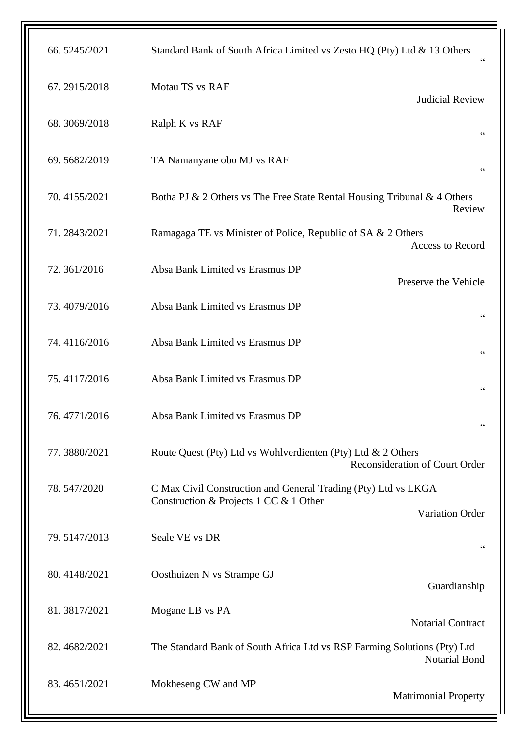| 66.5245/2021 | Standard Bank of South Africa Limited vs Zesto HQ (Pty) Ltd & 13 Others<br>$\zeta$ $\zeta$                                         |  |
|--------------|------------------------------------------------------------------------------------------------------------------------------------|--|
| 67.2915/2018 | Motau TS vs RAF<br><b>Judicial Review</b>                                                                                          |  |
| 68.3069/2018 | Ralph K vs RAF<br>$\zeta$ $\zeta$                                                                                                  |  |
| 69.5682/2019 | TA Namanyane obo MJ vs RAF<br>$\,$ 6 $\,$                                                                                          |  |
| 70.4155/2021 | Botha PJ & 2 Others vs The Free State Rental Housing Tribunal & 4 Others<br>Review                                                 |  |
| 71.2843/2021 | Ramagaga TE vs Minister of Police, Republic of SA & 2 Others<br>Access to Record                                                   |  |
| 72.361/2016  | Absa Bank Limited vs Erasmus DP<br>Preserve the Vehicle                                                                            |  |
| 73.4079/2016 | Absa Bank Limited vs Erasmus DP<br>$\zeta$ $\zeta$                                                                                 |  |
| 74.4116/2016 | Absa Bank Limited vs Erasmus DP<br>66                                                                                              |  |
| 75.4117/2016 | Absa Bank Limited vs Erasmus DP<br>$\zeta$ $\zeta$                                                                                 |  |
| 76.4771/2016 | Absa Bank Limited vs Erasmus DP                                                                                                    |  |
| 77.3880/2021 | Route Quest (Pty) Ltd vs Wohlverdienten (Pty) Ltd & 2 Others<br><b>Reconsideration of Court Order</b>                              |  |
| 78.547/2020  | C Max Civil Construction and General Trading (Pty) Ltd vs LKGA<br>Construction & Projects 1 CC & 1 Other<br><b>Variation Order</b> |  |
| 79.5147/2013 | Seale VE vs DR<br>66                                                                                                               |  |
| 80.4148/2021 | Oosthuizen N vs Strampe GJ<br>Guardianship                                                                                         |  |
| 81.3817/2021 | Mogane LB vs PA<br><b>Notarial Contract</b>                                                                                        |  |
| 82.4682/2021 | The Standard Bank of South Africa Ltd vs RSP Farming Solutions (Pty) Ltd<br><b>Notarial Bond</b>                                   |  |
| 83.4651/2021 | Mokheseng CW and MP<br><b>Matrimonial Property</b>                                                                                 |  |